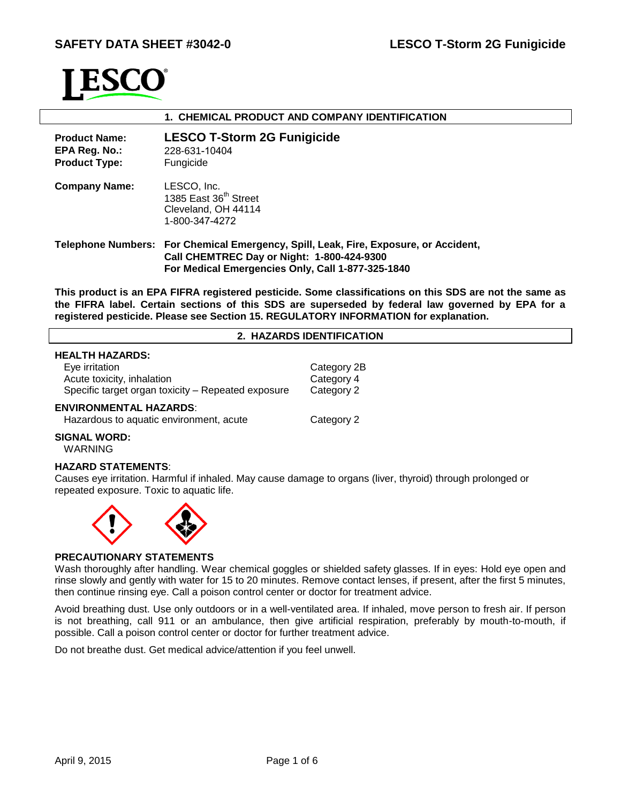

# **1. CHEMICAL PRODUCT AND COMPANY IDENTIFICATION Product Name: EPA Reg. No.: Product Type: LESCO T-Storm 2G Funigicide** 228-631-10404 Fungicide **Company Name:** LESCO, Inc. 1385 East 36<sup>th</sup> Street Cleveland, OH 44114 1-800-347-4272 **Telephone Numbers: For Chemical Emergency, Spill, Leak, Fire, Exposure, or Accident, Call CHEMTREC Day or Night: 1-800-424-9300 For Medical Emergencies Only, Call 1-877-325-1840**

**This product is an EPA FIFRA registered pesticide. Some classifications on this SDS are not the same as the FIFRA label. Certain sections of this SDS are superseded by federal law governed by EPA for a registered pesticide. Please see Section 15. REGULATORY INFORMATION for explanation.**

# **2. HAZARDS IDENTIFICATION**

# **HEALTH HAZARDS:**

| Eye irritation                                     | Category 2B |
|----------------------------------------------------|-------------|
| Acute toxicity, inhalation                         | Category 4  |
| Specific target organ toxicity – Repeated exposure | Category 2  |

#### **ENVIRONMENTAL HAZARDS**:

Hazardous to aquatic environment, acute Category 2

**SIGNAL WORD:**

# WARNING

# **HAZARD STATEMENTS**:

Causes eye irritation. Harmful if inhaled. May cause damage to organs (liver, thyroid) through prolonged or repeated exposure. Toxic to aquatic life.



# **PRECAUTIONARY STATEMENTS**

Wash thoroughly after handling. Wear chemical goggles or shielded safety glasses. If in eyes: Hold eye open and rinse slowly and gently with water for 15 to 20 minutes. Remove contact lenses, if present, after the first 5 minutes, then continue rinsing eye. Call a poison control center or doctor for treatment advice.

Avoid breathing dust. Use only outdoors or in a well-ventilated area. If inhaled, move person to fresh air. If person is not breathing, call 911 or an ambulance, then give artificial respiration, preferably by mouth-to-mouth, if possible. Call a poison control center or doctor for further treatment advice.

Do not breathe dust. Get medical advice/attention if you feel unwell.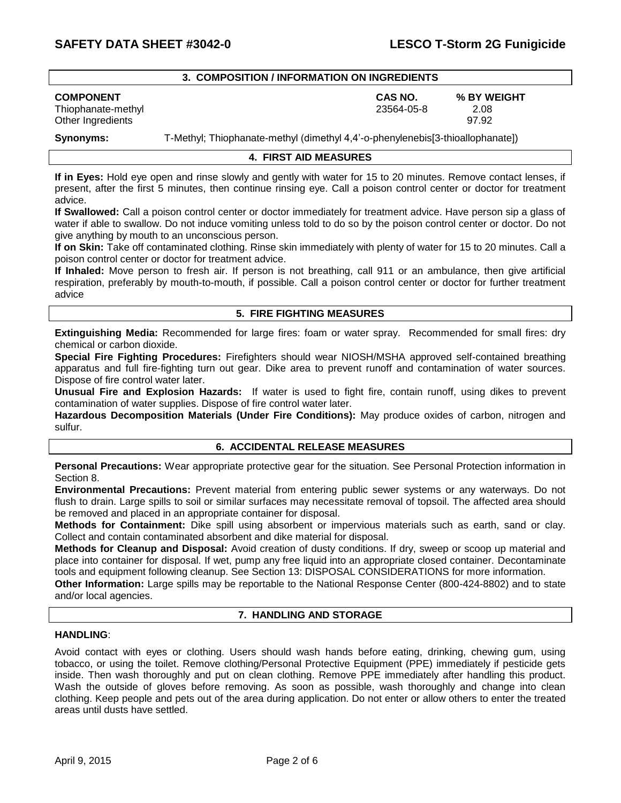#### **3. COMPOSITION / INFORMATION ON INGREDIENTS**

Other Ingredients 97.92

**COMPONENT CAS NO. % BY WEIGHT** Thiophanate-methyl 23564-05-8 2.08

**Synonyms:** T-Methyl; Thiophanate-methyl (dimethyl 4,4'-o-phenylenebis[3-thioallophanate])

# **4. FIRST AID MEASURES**

**If in Eyes:** Hold eye open and rinse slowly and gently with water for 15 to 20 minutes. Remove contact lenses, if present, after the first 5 minutes, then continue rinsing eye. Call a poison control center or doctor for treatment advice.

**If Swallowed:** Call a poison control center or doctor immediately for treatment advice. Have person sip a glass of water if able to swallow. Do not induce vomiting unless told to do so by the poison control center or doctor. Do not give anything by mouth to an unconscious person.

**If on Skin:** Take off contaminated clothing. Rinse skin immediately with plenty of water for 15 to 20 minutes. Call a poison control center or doctor for treatment advice.

**If Inhaled:** Move person to fresh air. If person is not breathing, call 911 or an ambulance, then give artificial respiration, preferably by mouth-to-mouth, if possible. Call a poison control center or doctor for further treatment advice

#### **5. FIRE FIGHTING MEASURES**

**Extinguishing Media:** Recommended for large fires: foam or water spray. Recommended for small fires: dry chemical or carbon dioxide.

**Special Fire Fighting Procedures:** Firefighters should wear NIOSH/MSHA approved self-contained breathing apparatus and full fire-fighting turn out gear. Dike area to prevent runoff and contamination of water sources. Dispose of fire control water later.

**Unusual Fire and Explosion Hazards:** If water is used to fight fire, contain runoff, using dikes to prevent contamination of water supplies. Dispose of fire control water later.

**Hazardous Decomposition Materials (Under Fire Conditions):** May produce oxides of carbon, nitrogen and sulfur.

#### **6. ACCIDENTAL RELEASE MEASURES**

**Personal Precautions:** Wear appropriate protective gear for the situation. See Personal Protection information in Section 8.

**Environmental Precautions:** Prevent material from entering public sewer systems or any waterways. Do not flush to drain. Large spills to soil or similar surfaces may necessitate removal of topsoil. The affected area should be removed and placed in an appropriate container for disposal.

**Methods for Containment:** Dike spill using absorbent or impervious materials such as earth, sand or clay. Collect and contain contaminated absorbent and dike material for disposal.

**Methods for Cleanup and Disposal:** Avoid creation of dusty conditions. If dry, sweep or scoop up material and place into container for disposal. If wet, pump any free liquid into an appropriate closed container. Decontaminate tools and equipment following cleanup. See Section 13: DISPOSAL CONSIDERATIONS for more information.

**Other Information:** Large spills may be reportable to the National Response Center (800-424-8802) and to state and/or local agencies.

# **7. HANDLING AND STORAGE**

# **HANDLING**:

Avoid contact with eyes or clothing. Users should wash hands before eating, drinking, chewing gum, using tobacco, or using the toilet. Remove clothing/Personal Protective Equipment (PPE) immediately if pesticide gets inside. Then wash thoroughly and put on clean clothing. Remove PPE immediately after handling this product. Wash the outside of gloves before removing. As soon as possible, wash thoroughly and change into clean clothing. Keep people and pets out of the area during application. Do not enter or allow others to enter the treated areas until dusts have settled.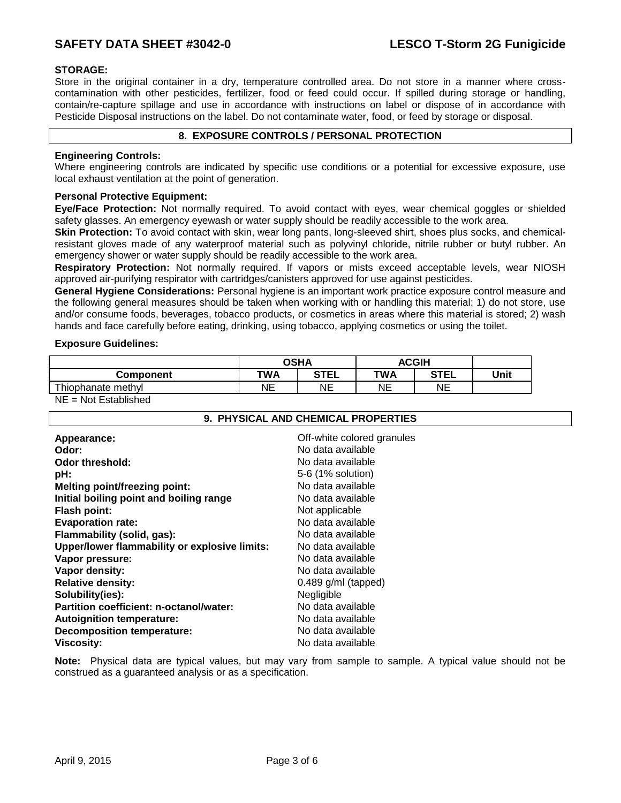# SAFETY DATA SHEET #3042-0 LESCO T-Storm 2G Funigicide

# **STORAGE:**

Store in the original container in a dry, temperature controlled area. Do not store in a manner where crosscontamination with other pesticides, fertilizer, food or feed could occur. If spilled during storage or handling, contain/re-capture spillage and use in accordance with instructions on label or dispose of in accordance with Pesticide Disposal instructions on the label. Do not contaminate water, food, or feed by storage or disposal.

# **8. EXPOSURE CONTROLS / PERSONAL PROTECTION**

# **Engineering Controls:**

Where engineering controls are indicated by specific use conditions or a potential for excessive exposure, use local exhaust ventilation at the point of generation.

#### **Personal Protective Equipment:**

**Eye/Face Protection:** Not normally required. To avoid contact with eyes, wear chemical goggles or shielded safety glasses. An emergency eyewash or water supply should be readily accessible to the work area.

**Skin Protection:** To avoid contact with skin, wear long pants, long-sleeved shirt, shoes plus socks, and chemicalresistant gloves made of any waterproof material such as polyvinyl chloride, nitrile rubber or butyl rubber. An emergency shower or water supply should be readily accessible to the work area.

**Respiratory Protection:** Not normally required. If vapors or mists exceed acceptable levels, wear NIOSH approved air-purifying respirator with cartridges/canisters approved for use against pesticides.

**General Hygiene Considerations:** Personal hygiene is an important work practice exposure control measure and the following general measures should be taken when working with or handling this material: 1) do not store, use and/or consume foods, beverages, tobacco products, or cosmetics in areas where this material is stored; 2) wash hands and face carefully before eating, drinking, using tobacco, applying cosmetics or using the toilet.

#### **Exposure Guidelines:**

|                      | <b>OSHA</b> |             | <b>ACGIH</b> |             |      |
|----------------------|-------------|-------------|--------------|-------------|------|
| Component            | TWA         | <b>STEL</b> | TWA          | <b>STEL</b> | Unit |
| Thiophanate methyl   | ΝE          | NΕ          | NΕ           | NΕ          |      |
| NE - Not Ectablished |             |             |              |             |      |

NE = Not Established

# **9. PHYSICAL AND CHEMICAL PROPERTIES**

| Appearance:                                   | Off-white colored granules |
|-----------------------------------------------|----------------------------|
| Odor:                                         | No data available          |
| Odor threshold:                               | No data available          |
| pH:                                           | 5-6 (1% solution)          |
| <b>Melting point/freezing point:</b>          | No data available          |
| Initial boiling point and boiling range       | No data available          |
| <b>Flash point:</b>                           | Not applicable             |
| <b>Evaporation rate:</b>                      | No data available          |
| Flammability (solid, gas):                    | No data available          |
| Upper/lower flammability or explosive limits: | No data available          |
| Vapor pressure:                               | No data available          |
| Vapor density:                                | No data available          |
| <b>Relative density:</b>                      | $0.489$ g/ml (tapped)      |
| Solubility(ies):                              | Negligible                 |
| Partition coefficient: n-octanol/water:       | No data available          |
| <b>Autoignition temperature:</b>              | No data available          |
| <b>Decomposition temperature:</b>             | No data available          |
| <b>Viscosity:</b>                             | No data available          |

**Note:** Physical data are typical values, but may vary from sample to sample. A typical value should not be construed as a guaranteed analysis or as a specification.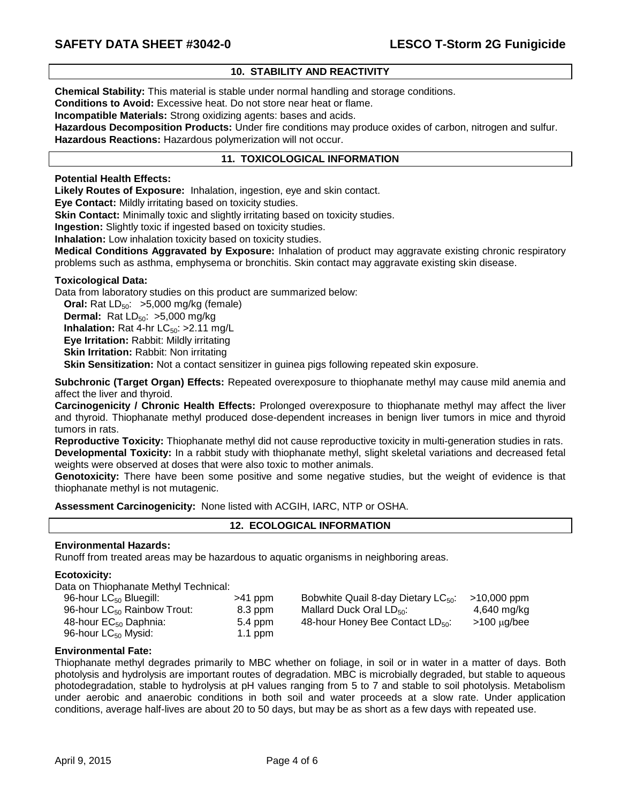# **10. STABILITY AND REACTIVITY**

**Chemical Stability:** This material is stable under normal handling and storage conditions.

**Conditions to Avoid:** Excessive heat. Do not store near heat or flame.

**Incompatible Materials:** Strong oxidizing agents: bases and acids.

**Hazardous Decomposition Products:** Under fire conditions may produce oxides of carbon, nitrogen and sulfur. **Hazardous Reactions:** Hazardous polymerization will not occur.

#### **11. TOXICOLOGICAL INFORMATION**

**Potential Health Effects:**

**Likely Routes of Exposure:** Inhalation, ingestion, eye and skin contact.

**Eye Contact:** Mildly irritating based on toxicity studies.

**Skin Contact:** Minimally toxic and slightly irritating based on toxicity studies.

**Ingestion:** Slightly toxic if ingested based on toxicity studies.

**Inhalation:** Low inhalation toxicity based on toxicity studies.

**Medical Conditions Aggravated by Exposure:** Inhalation of product may aggravate existing chronic respiratory problems such as asthma, emphysema or bronchitis. Skin contact may aggravate existing skin disease.

#### **Toxicological Data:**

Data from laboratory studies on this product are summarized below:

**Oral:** Rat  $LD_{50}$ :  $>5,000$  mg/kg (female)

**Dermal:** Rat  $LD_{50}$ :  $>5,000$  mg/kg

**Inhalation:** Rat 4-hr  $LC_{50}$ : >2.11 mg/L

**Eye Irritation:** Rabbit: Mildly irritating

**Skin Irritation: Rabbit: Non irritating** 

**Skin Sensitization:** Not a contact sensitizer in guinea pigs following repeated skin exposure.

**Subchronic (Target Organ) Effects:** Repeated overexposure to thiophanate methyl may cause mild anemia and affect the liver and thyroid.

**Carcinogenicity / Chronic Health Effects:** Prolonged overexposure to thiophanate methyl may affect the liver and thyroid. Thiophanate methyl produced dose-dependent increases in benign liver tumors in mice and thyroid tumors in rats.

**Reproductive Toxicity:** Thiophanate methyl did not cause reproductive toxicity in multi-generation studies in rats. **Developmental Toxicity:** In a rabbit study with thiophanate methyl, slight skeletal variations and decreased fetal weights were observed at doses that were also toxic to mother animals.

**Genotoxicity:** There have been some positive and some negative studies, but the weight of evidence is that thiophanate methyl is not mutagenic.

**Assessment Carcinogenicity:** None listed with ACGIH, IARC, NTP or OSHA.

# **12. ECOLOGICAL INFORMATION**

#### **Environmental Hazards:**

Runoff from treated areas may be hazardous to aquatic organisms in neighboring areas.

# **Ecotoxicity:**

Data on Thiophanate Methyl Technical:

| $>41$ ppm |
|-----------|
| 8.3 ppm   |
| 5.4 ppm   |
| $1.1$ ppm |
|           |

m Bobwhite Quail 8-day Dietary  $LC_{50}$ :  $>10,000$  ppm m Mallard Duck Oral LD $_{50}$ : 4,640 mg/kg m  $48$ -hour Honey Bee Contact LD<sub>50</sub>:  $>100 \mu q/bee$ 

# **Environmental Fate:**

Thiophanate methyl degrades primarily to MBC whether on foliage, in soil or in water in a matter of days. Both photolysis and hydrolysis are important routes of degradation. MBC is microbially degraded, but stable to aqueous photodegradation, stable to hydrolysis at pH values ranging from 5 to 7 and stable to soil photolysis. Metabolism under aerobic and anaerobic conditions in both soil and water proceeds at a slow rate. Under application conditions, average half-lives are about 20 to 50 days, but may be as short as a few days with repeated use.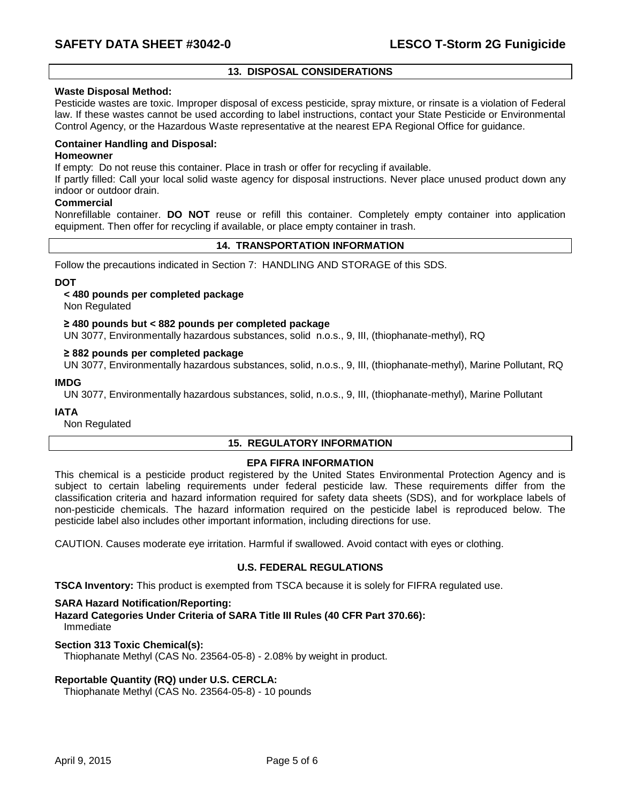# **13. DISPOSAL CONSIDERATIONS**

# **Waste Disposal Method:**

Pesticide wastes are toxic. Improper disposal of excess pesticide, spray mixture, or rinsate is a violation of Federal law. If these wastes cannot be used according to label instructions, contact your State Pesticide or Environmental Control Agency, or the Hazardous Waste representative at the nearest EPA Regional Office for guidance.

#### **Container Handling and Disposal:**

#### **Homeowner**

If empty: Do not reuse this container. Place in trash or offer for recycling if available.

If partly filled: Call your local solid waste agency for disposal instructions. Never place unused product down any indoor or outdoor drain.

# **Commercial**

Nonrefillable container. **DO NOT** reuse or refill this container. Completely empty container into application equipment. Then offer for recycling if available, or place empty container in trash.

# **14. TRANSPORTATION INFORMATION**

Follow the precautions indicated in Section 7: HANDLING AND STORAGE of this SDS.

#### **DOT**

#### **< 480 pounds per completed package**

Non Regulated

#### **≥ 480 pounds but < 882 pounds per completed package**

UN 3077, Environmentally hazardous substances, solid n.o.s., 9, III, (thiophanate-methyl), RQ

#### **≥ 882 pounds per completed package**

UN 3077, Environmentally hazardous substances, solid, n.o.s., 9, III, (thiophanate-methyl), Marine Pollutant, RQ

#### **IMDG**

UN 3077, Environmentally hazardous substances, solid, n.o.s., 9, III, (thiophanate-methyl), Marine Pollutant

#### **IATA**

Non Regulated

# **15. REGULATORY INFORMATION**

# **EPA FIFRA INFORMATION**

This chemical is a pesticide product registered by the United States Environmental Protection Agency and is subject to certain labeling requirements under federal pesticide law. These requirements differ from the classification criteria and hazard information required for safety data sheets (SDS), and for workplace labels of non-pesticide chemicals. The hazard information required on the pesticide label is reproduced below. The pesticide label also includes other important information, including directions for use.

CAUTION. Causes moderate eye irritation. Harmful if swallowed. Avoid contact with eyes or clothing.

# **U.S. FEDERAL REGULATIONS**

**TSCA Inventory:** This product is exempted from TSCA because it is solely for FIFRA regulated use.

#### **SARA Hazard Notification/Reporting:**

**Hazard Categories Under Criteria of SARA Title III Rules (40 CFR Part 370.66):** Immediate

#### **Section 313 Toxic Chemical(s):**

Thiophanate Methyl (CAS No. 23564-05-8) - 2.08% by weight in product.

# **Reportable Quantity (RQ) under U.S. CERCLA:**

Thiophanate Methyl (CAS No. 23564-05-8) - 10 pounds